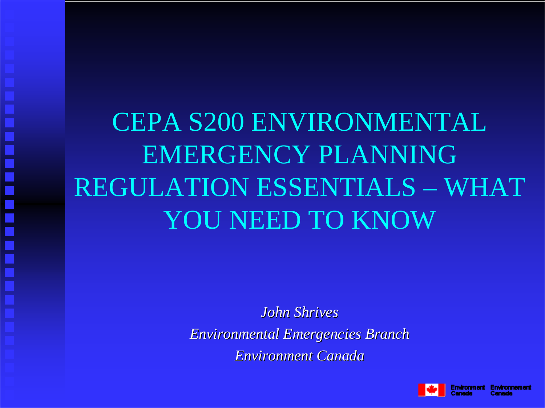# CEPA S200 ENVIRONMENTAL EMERGENCY PLANNING REGULATION ESSENTIALS – WHAT YOU NEED TO KNOW

*John Shrives John ShrivesEnvironmental Emergencies Branch Environmental Emergencies Branch Environment Canada Environment Canada*

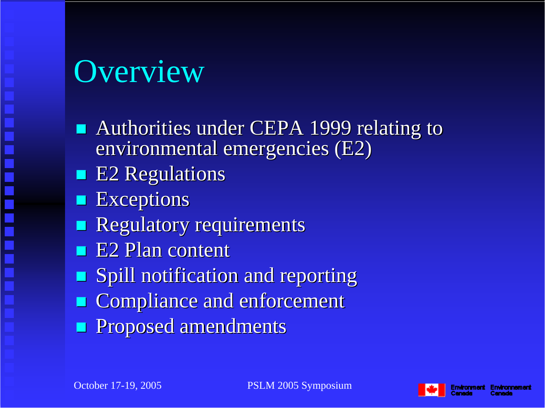# Overview

- **Authorities under CEPA 1999 relating to** environmental emergencies (E2)
- **E2 Regulations**
- **Exceptions**
- **Regulatory requirements**
- $\blacksquare$  E2 Plan content
- **Spill notification and reporting**
- **EXPENDIANCE And enforcement**
- **Proposed amendments**

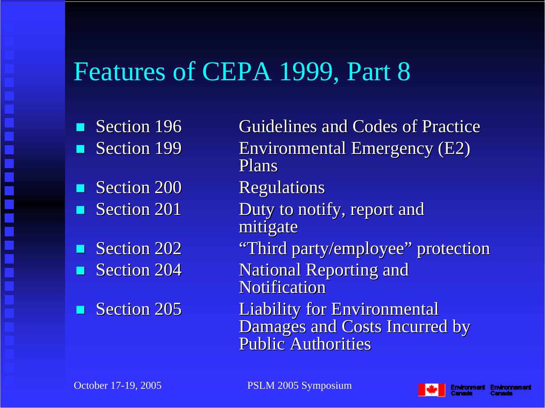#### Features of CEPA 1999, Part 8

- **CONTRACTOR** Section 199
- **CONTRACTOR** Section 200 Regulations  $\blacksquare$  Section 201
- $\blacksquare$ Section 202
- П
- **CONTRACTOR**

Section 196 Guidelines and Codes of Practice Environmental Emergency (E2) PlansDuty to notify, report and mitigate "Third party/employee" protection Section 204 National Reporting and **Notification** Section 205 Liability for Environmental Damages and Costs Incurred by **Public Authorities** 

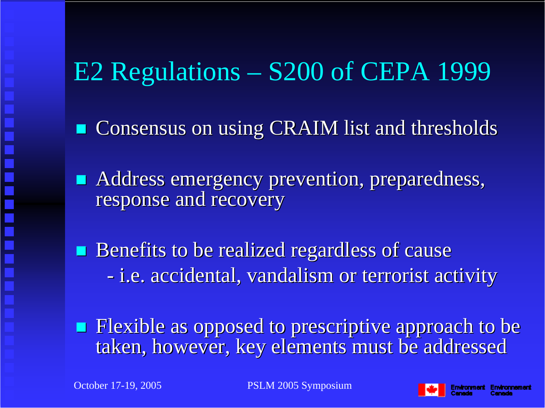# E2 Regulations – S200 of CEPA 1999

**Consensus on using CRAIM list and thresholds** 

**Address emergency prevention, preparedness,** response and recovery

Benefits to be realized regardless of cause -- i.e. accidental, vandalism or terrorist activity

 $\blacksquare$  Flexible as opposed to prescriptive approach to be taken, however, key elements must be addressed

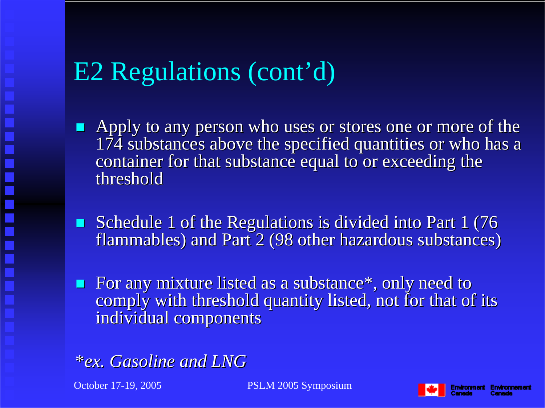# E2 Regulations (cont'd)

- $\blacksquare$  Apply to any person who uses or stores one or more of the  $174$  substances above the specified quantities or who has a container for that substance equal to or exceeding the threshold
- Schedule 1 of the Regulations is divided into Part  $1(76$ flammables) and Part 2 (98 other hazardous substances)
- For any mixture listed as a substance\*, only need to comply with threshold quantity listed, not for that of its individual components



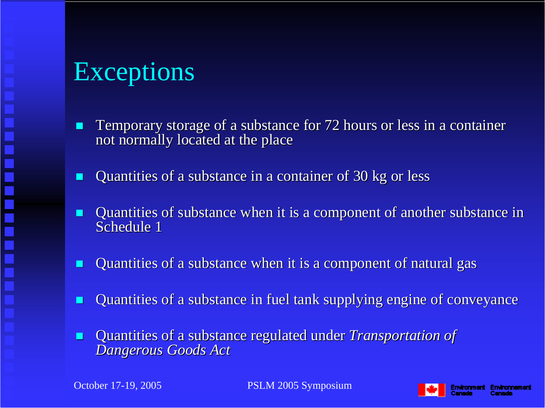### Exceptions

- П Temporary storage of a substance for 72 hours or less in a container not normally located at the place not normally located at the place
- П Quantities of a substance in a container of 30 kg or less
- П Quantities of substance when it is a component of another substance in Schedule 1
- П Quantities of a substance when it is a component of natural gas
- П Quantities of a substance in fuel tank supplying engine of conveyance
- П Quantities of a substance regulated under Quantities of a substance regulated under *Transportation of Transportation of Dangerous Goods Act Dangerous Goods Act*

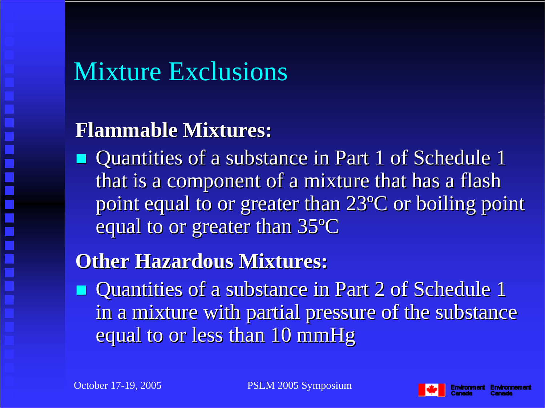# Mixture Exclusions

#### **Flammable Mixtures: Flammable Mixtures:**

 $\blacksquare$  Quantities of a substance in Part 1 of Schedule 1 that is a component of a mixture that has a flash point equal to or greater than  $23^{\circ}C$  or boiling point equal to or greater than 35°  $\rm ^o\!C$ 

#### **Other Hazardous Mixtures:**

 $\blacksquare$  Quantities of a substance in Part 2 of Schedule 1 in a mixture with partial pressure of the substance equal to or less than 10 mmHg

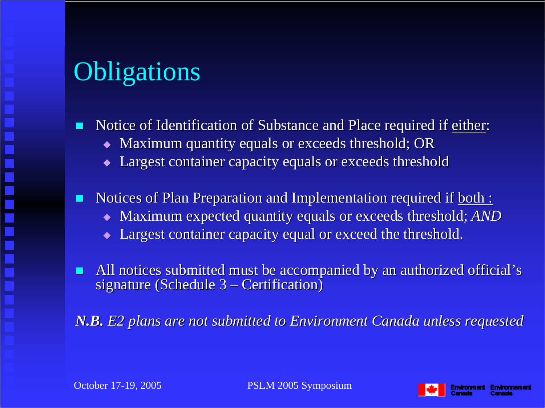# **Obligations**

L. Notice of Identification of Substance and Place required if either:

- $\blacklozenge$  Maximum quantity equals or exceeds threshold; OR
- Largest container capacity equals or exceeds threshold
- П Notices of Plan Preparation and Implementation required if both :
	- $\bullet$  Maximum expected quantity equals or exceeds threshold; *AND*
	- $\blacklozenge$  Largest container capacity equal or exceed the threshold.

 $\blacksquare$ All notices submitted must be accompanied by an authorized official's signature (Schedule 3 <sub>:</sub> – Certification)

*N.B. E2 plans are not submitted to Environment Canada unless requested* 



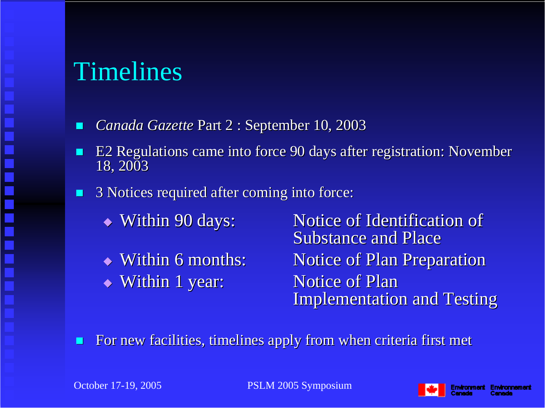#### Timelines

- $\blacksquare$ *Canada Gazette Part 2 : September 10, 2003*
- L. E2 Regulations came into force 90 days after registration: November 18, 2003
- $\blacksquare$  3 Notices required after coming into force: 3 Notices required after coming into force:
	- $\blacktriangleright$  Within 90 days:
	- $\blacktriangleright$  Within 6 months: • Within 1 year: Notice of Plan

Notice of Identification of Substance and Place Notice of Plan Preparation **Implementation and Testing** 

п For new facilities, timelines apply from when criteria first met

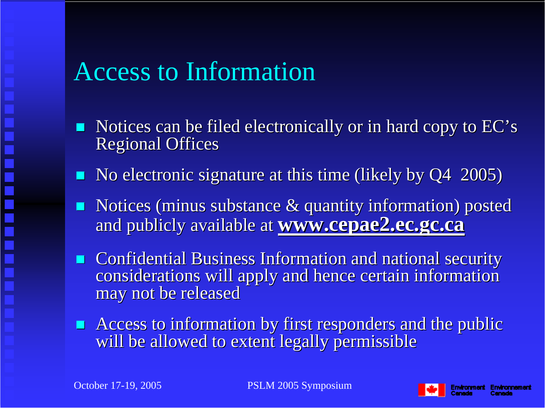#### Access to Information

- $\blacksquare$ Notices can be filed electronically or in hard copy to EC's **Regional Offices**
- $\blacksquare$  No electronic signature at this time (likely by Q4 2005)
- $\blacksquare$  Notices (minus substance  $\&$  quantity information) posted and publicly available at **www.cepae2.ec.gc.ca**
- **EXTERGHT Confidential Business Information and national security** considerations will apply and hence certain information may not be released
- **Access to information by first responders and the public** will be allowed to extent legally permissible

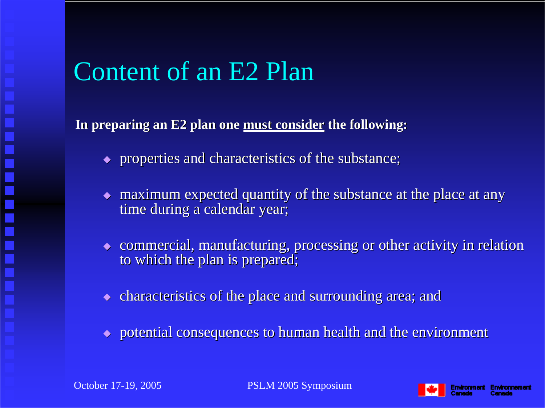#### Content of an E2 Plan

In preparing an E2 plan one must consider the following:

- $\bullet$  properties and characteristics of the substance;
- $\bullet$  maximum expected quantity of the substance at the place at any time during a calendar year;
- $\bullet$  commercial, manufacturing, processing or other activity in relation to which the plan is prepared;
- $\bullet$  characteristics of the place and surrounding area; and
- $\rightarrow$  potential consequences to human health and the environment

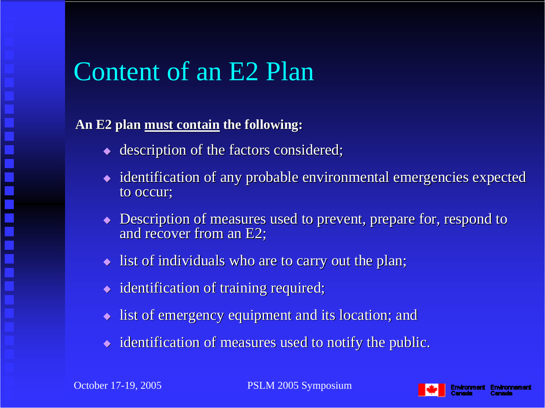#### Content of an E2 Plan

#### An E2 plan must contain the following:

- $\bullet$  description of the factors considered;
- $\bullet$  identification of any probable environmental emergencies expected to occur:
- $\blacklozenge$  Description of measures used to prevent, prepare for, respond to and recover from an  $E2$ ;
- $\blacklozenge$  list of individuals who are to carry out the plan;
- $\bullet$  identification of training required;
- $\blacklozenge$  list of emergency equipment and its location; and
- $\bullet$  identification of measures used to notify the public.

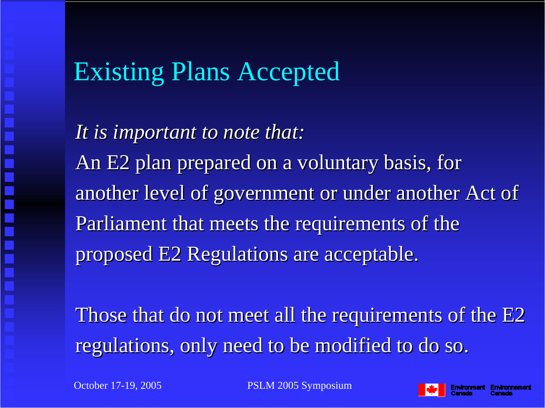#### Existing Plans Accepted

*It is important to note that: It is important to note that:* An E2 plan prepared on a voluntary basis, for another level of government or under another Act of Parliament that meets the requirements of the proposed E2 Regulations are acceptable. proposed E2 Regulations are acceptable.

Those that do not meet all the requirements of the E2 regulations, only need to be modified to do so.

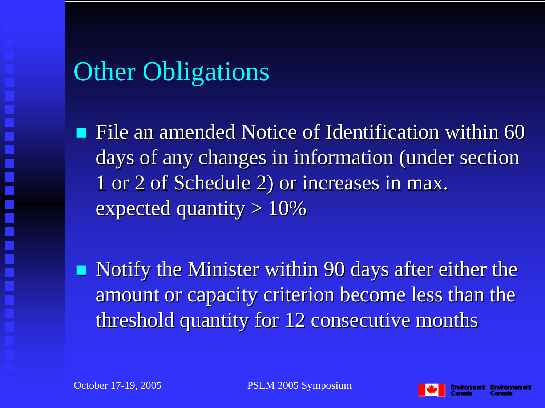# **Other Obligations**

File an amended Notice of Identification within 60 days of any changes in information (under section 1 or 2 of Schedule 2) or increases in max. 1 or 2 of Schedule 2) or increases in max. expected quantity  $> 10\%$ 

 $\blacksquare$ Notify the Minister within 90 days after either the amount or capacity criterion become less than the threshold quantity for 12 consecutive months

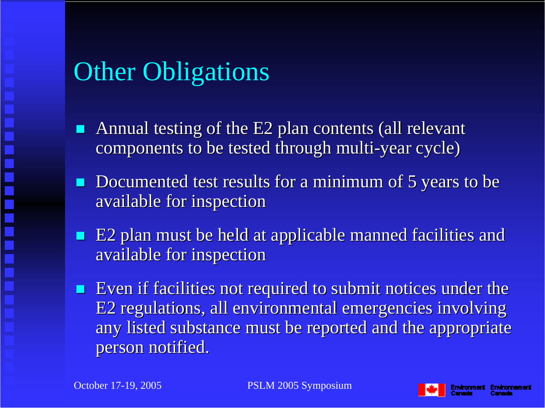# **Other Obligations**

- Annual testing of the E2 plan contents (all relevant components to be tested through multi-year cycle)
- **Documented test results for a minimum of 5 years to be** available for inspection available for inspection
- e<br>S E2 plan must be held at applicable manned facilities and available for inspection
- $\blacksquare$  Even if facilities not required to submit notices under the E2 regulations, all environmental emergencies involving any listed substance must be reported and the appropriate person notified.

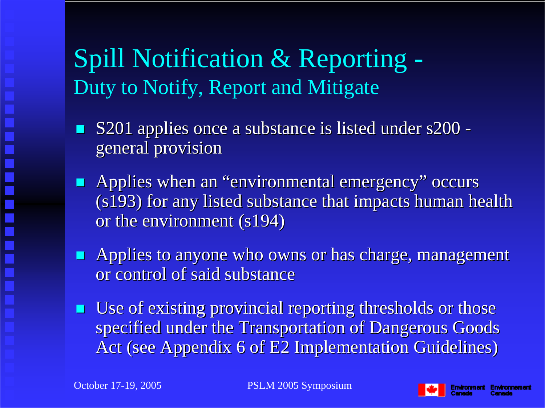### Spill Notification & Reporting - Duty to Notify, Report and Mitigate

- S201 applies once a substance is listed under s200 general provision general provision
- **Applies when an "environmental emergency" occurs**  $(s193)$  for any listed substance that impacts human health or the environment (s194)
- **Applies to anyone who owns or has charge, management** or control of said substance
- $\blacksquare$  Use of existing provincial reporting thresholds or those specified under the Transportation of Dangerous Goods Act (see Appendix 6 of E2 Implementation Guidelines)

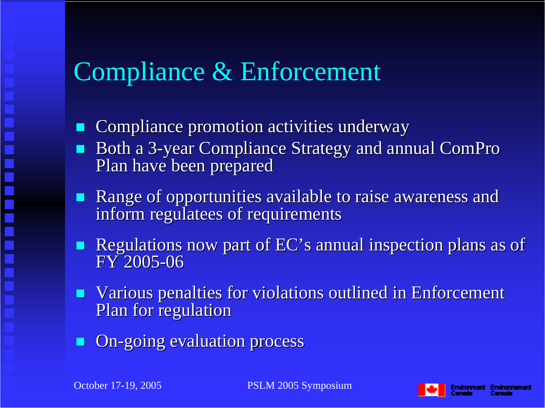## Compliance & Enforcement

- Compliance promotion activities underway Compliance promotion activities underway
- Both a 3-year Compliance Strategy and annual ComPro Plan have been prepared
- **Range of opportunities available to raise awareness and Range of opportunities available to raise awareness and** inform regulatees of requirements
- Regulations now part of  $EC$ 's annual inspection plans as of FY 2005-06
- $\blacksquare$ Various penalties for violations outlined in Enforcement Plan for regulation
- **On-going evaluation process**

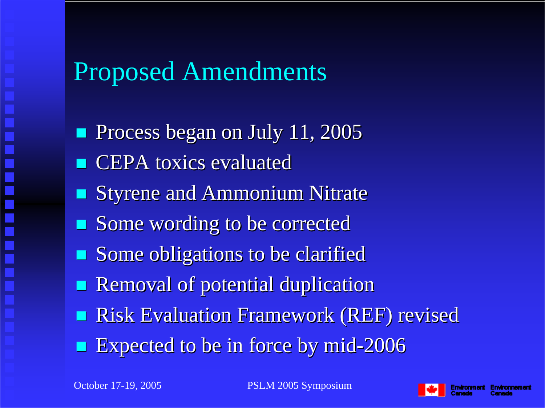#### Proposed Amendments

 $\blacksquare$ Process began on July 11, 2005  $\blacksquare$  CEPA toxics evaluated  $\blacksquare$ **Styrene and Ammonium Nitrate Some wording to be corrected Some obligations to be clarified** e<br>S Removal of potential duplication **Risk Evaluation Framework (REF) revised** 

e<br>S **Expected to be in force by mid-2006** 

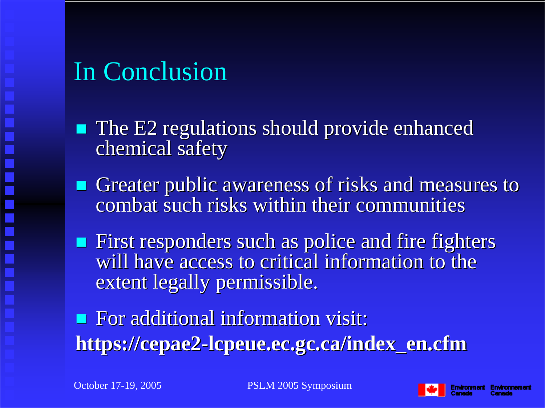# In Conclusion

- $\blacksquare$  The E2 regulations should provide enhanced chemical safety
- Greater public awareness of risks and measures to combat such risks within their communities
- $\blacksquare$  First responders such as police and fire fighters will have access to critical information to the extent legally permissible.

**For additional information visit: https://cepae2 https://cepae2 -lcpeue.ec.gc.ca/index\_en.cfm lcpeue.ec.gc.ca/index\_en.cfm**